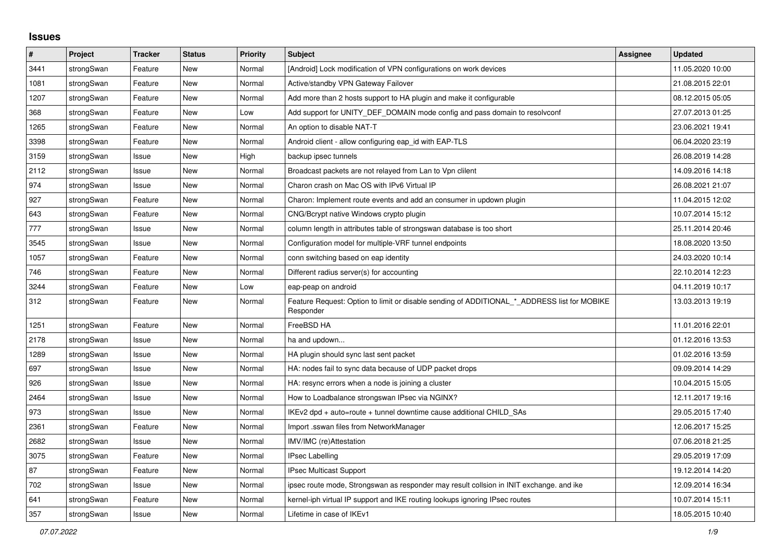## **Issues**

| #    | Project    | <b>Tracker</b> | <b>Status</b> | <b>Priority</b> | <b>Subject</b>                                                                                           | Assignee | <b>Updated</b>   |
|------|------------|----------------|---------------|-----------------|----------------------------------------------------------------------------------------------------------|----------|------------------|
| 3441 | strongSwan | Feature        | <b>New</b>    | Normal          | [Android] Lock modification of VPN configurations on work devices                                        |          | 11.05.2020 10:00 |
| 1081 | strongSwan | Feature        | <b>New</b>    | Normal          | Active/standby VPN Gateway Failover                                                                      |          | 21.08.2015 22:01 |
| 1207 | strongSwan | Feature        | New           | Normal          | Add more than 2 hosts support to HA plugin and make it configurable                                      |          | 08.12.2015 05:05 |
| 368  | strongSwan | Feature        | New           | Low             | Add support for UNITY DEF DOMAIN mode config and pass domain to resolveonf                               |          | 27.07.2013 01:25 |
| 1265 | strongSwan | Feature        | <b>New</b>    | Normal          | An option to disable NAT-T                                                                               |          | 23.06.2021 19:41 |
| 3398 | strongSwan | Feature        | <b>New</b>    | Normal          | Android client - allow configuring eap id with EAP-TLS                                                   |          | 06.04.2020 23:19 |
| 3159 | strongSwan | Issue          | <b>New</b>    | High            | backup ipsec tunnels                                                                                     |          | 26.08.2019 14:28 |
| 2112 | strongSwan | Issue          | New           | Normal          | Broadcast packets are not relayed from Lan to Vpn clilent                                                |          | 14.09.2016 14:18 |
| 974  | strongSwan | Issue          | <b>New</b>    | Normal          | Charon crash on Mac OS with IPv6 Virtual IP                                                              |          | 26.08.2021 21:07 |
| 927  | strongSwan | Feature        | <b>New</b>    | Normal          | Charon: Implement route events and add an consumer in updown plugin                                      |          | 11.04.2015 12:02 |
| 643  | strongSwan | Feature        | <b>New</b>    | Normal          | CNG/Bcrypt native Windows crypto plugin                                                                  |          | 10.07.2014 15:12 |
| 777  | strongSwan | Issue          | <b>New</b>    | Normal          | column length in attributes table of strongswan database is too short                                    |          | 25.11.2014 20:46 |
| 3545 | strongSwan | Issue          | New           | Normal          | Configuration model for multiple-VRF tunnel endpoints                                                    |          | 18.08.2020 13:50 |
| 1057 | strongSwan | Feature        | New           | Normal          | conn switching based on eap identity                                                                     |          | 24.03.2020 10:14 |
| 746  | strongSwan | Feature        | <b>New</b>    | Normal          | Different radius server(s) for accounting                                                                |          | 22.10.2014 12:23 |
| 3244 | strongSwan | Feature        | New           | Low             | eap-peap on android                                                                                      |          | 04.11.2019 10:17 |
| 312  | strongSwan | Feature        | New           | Normal          | Feature Request: Option to limit or disable sending of ADDITIONAL_*_ADDRESS list for MOBIKE<br>Responder |          | 13.03.2013 19:19 |
| 1251 | strongSwan | Feature        | New           | Normal          | FreeBSD HA                                                                                               |          | 11.01.2016 22:01 |
| 2178 | strongSwan | Issue          | New           | Normal          | ha and updown                                                                                            |          | 01.12.2016 13:53 |
| 1289 | strongSwan | Issue          | New           | Normal          | HA plugin should sync last sent packet                                                                   |          | 01.02.2016 13:59 |
| 697  | strongSwan | Issue          | New           | Normal          | HA: nodes fail to sync data because of UDP packet drops                                                  |          | 09.09.2014 14:29 |
| 926  | strongSwan | Issue          | New           | Normal          | HA: resync errors when a node is joining a cluster                                                       |          | 10.04.2015 15:05 |
| 2464 | strongSwan | Issue          | New           | Normal          | How to Loadbalance strongswan IPsec via NGINX?                                                           |          | 12.11.2017 19:16 |
| 973  | strongSwan | Issue          | New           | Normal          | IKEv2 dpd + auto=route + tunnel downtime cause additional CHILD_SAs                                      |          | 29.05.2015 17:40 |
| 2361 | strongSwan | Feature        | New           | Normal          | Import .sswan files from NetworkManager                                                                  |          | 12.06.2017 15:25 |
| 2682 | strongSwan | Issue          | New           | Normal          | IMV/IMC (re)Attestation                                                                                  |          | 07.06.2018 21:25 |
| 3075 | strongSwan | Feature        | <b>New</b>    | Normal          | <b>IPsec Labelling</b>                                                                                   |          | 29.05.2019 17:09 |
| 87   | strongSwan | Feature        | New           | Normal          | <b>IPsec Multicast Support</b>                                                                           |          | 19.12.2014 14:20 |
| 702  | strongSwan | Issue          | New           | Normal          | ipsec route mode, Strongswan as responder may result collsion in INIT exchange. and ike                  |          | 12.09.2014 16:34 |
| 641  | strongSwan | Feature        | New           | Normal          | kernel-iph virtual IP support and IKE routing lookups ignoring IPsec routes                              |          | 10.07.2014 15:11 |
| 357  | strongSwan | Issue          | New           | Normal          | Lifetime in case of IKEv1                                                                                |          | 18.05.2015 10:40 |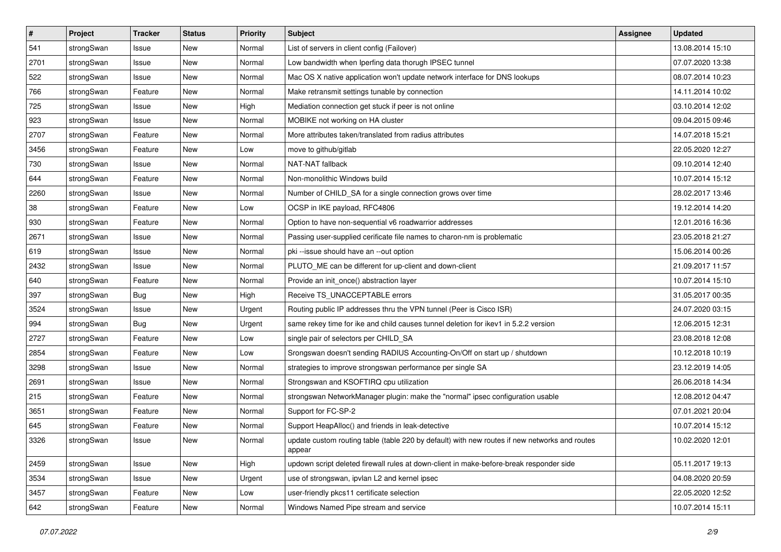| $\sharp$ | Project    | <b>Tracker</b> | <b>Status</b> | <b>Priority</b> | <b>Subject</b>                                                                                          | <b>Assignee</b> | <b>Updated</b>   |
|----------|------------|----------------|---------------|-----------------|---------------------------------------------------------------------------------------------------------|-----------------|------------------|
| 541      | strongSwan | Issue          | New           | Normal          | List of servers in client config (Failover)                                                             |                 | 13.08.2014 15:10 |
| 2701     | strongSwan | Issue          | <b>New</b>    | Normal          | Low bandwidth when Iperfing data thorugh IPSEC tunnel                                                   |                 | 07.07.2020 13:38 |
| 522      | strongSwan | Issue          | <b>New</b>    | Normal          | Mac OS X native application won't update network interface for DNS lookups                              |                 | 08.07.2014 10:23 |
| 766      | strongSwan | Feature        | New           | Normal          | Make retransmit settings tunable by connection                                                          |                 | 14.11.2014 10:02 |
| 725      | strongSwan | Issue          | <b>New</b>    | High            | Mediation connection get stuck if peer is not online                                                    |                 | 03.10.2014 12:02 |
| 923      | strongSwan | Issue          | New           | Normal          | MOBIKE not working on HA cluster                                                                        |                 | 09.04.2015 09:46 |
| 2707     | strongSwan | Feature        | New           | Normal          | More attributes taken/translated from radius attributes                                                 |                 | 14.07.2018 15:21 |
| 3456     | strongSwan | Feature        | New           | Low             | move to github/gitlab                                                                                   |                 | 22.05.2020 12:27 |
| 730      | strongSwan | Issue          | <b>New</b>    | Normal          | NAT-NAT fallback                                                                                        |                 | 09.10.2014 12:40 |
| 644      | strongSwan | Feature        | New           | Normal          | Non-monolithic Windows build                                                                            |                 | 10.07.2014 15:12 |
| 2260     | strongSwan | Issue          | New           | Normal          | Number of CHILD_SA for a single connection grows over time                                              |                 | 28.02.2017 13:46 |
| 38       | strongSwan | Feature        | New           | Low             | OCSP in IKE payload, RFC4806                                                                            |                 | 19.12.2014 14:20 |
| 930      | strongSwan | Feature        | New           | Normal          | Option to have non-sequential v6 roadwarrior addresses                                                  |                 | 12.01.2016 16:36 |
| 2671     | strongSwan | Issue          | New           | Normal          | Passing user-supplied cerificate file names to charon-nm is problematic                                 |                 | 23.05.2018 21:27 |
| 619      | strongSwan | Issue          | New           | Normal          | pki --issue should have an --out option                                                                 |                 | 15.06.2014 00:26 |
| 2432     | strongSwan | Issue          | <b>New</b>    | Normal          | PLUTO_ME can be different for up-client and down-client                                                 |                 | 21.09.2017 11:57 |
| 640      | strongSwan | Feature        | New           | Normal          | Provide an init_once() abstraction layer                                                                |                 | 10.07.2014 15:10 |
| 397      | strongSwan | <b>Bug</b>     | New           | High            | Receive TS UNACCEPTABLE errors                                                                          |                 | 31.05.2017 00:35 |
| 3524     | strongSwan | Issue          | New           | Urgent          | Routing public IP addresses thru the VPN tunnel (Peer is Cisco ISR)                                     |                 | 24.07.2020 03:15 |
| 994      | strongSwan | <b>Bug</b>     | New           | Urgent          | same rekey time for ike and child causes tunnel deletion for ikev1 in 5.2.2 version                     |                 | 12.06.2015 12:31 |
| 2727     | strongSwan | Feature        | New           | Low             | single pair of selectors per CHILD_SA                                                                   |                 | 23.08.2018 12:08 |
| 2854     | strongSwan | Feature        | New           | Low             | Srongswan doesn't sending RADIUS Accounting-On/Off on start up / shutdown                               |                 | 10.12.2018 10:19 |
| 3298     | strongSwan | Issue          | <b>New</b>    | Normal          | strategies to improve strongswan performance per single SA                                              |                 | 23.12.2019 14:05 |
| 2691     | strongSwan | Issue          | <b>New</b>    | Normal          | Strongswan and KSOFTIRQ cpu utilization                                                                 |                 | 26.06.2018 14:34 |
| 215      | strongSwan | Feature        | New           | Normal          | strongswan NetworkManager plugin: make the "normal" ipsec configuration usable                          |                 | 12.08.2012 04:47 |
| 3651     | strongSwan | Feature        | New           | Normal          | Support for FC-SP-2                                                                                     |                 | 07.01.2021 20:04 |
| 645      | strongSwan | Feature        | <b>New</b>    | Normal          | Support HeapAlloc() and friends in leak-detective                                                       |                 | 10.07.2014 15:12 |
| 3326     | strongSwan | Issue          | New           | Normal          | update custom routing table (table 220 by default) with new routes if new networks and routes<br>appear |                 | 10.02.2020 12:01 |
| 2459     | strongSwan | Issue          | New           | High            | updown script deleted firewall rules at down-client in make-before-break responder side                 |                 | 05.11.2017 19:13 |
| 3534     | strongSwan | Issue          | New           | Urgent          | use of strongswan, ipvlan L2 and kernel ipsec                                                           |                 | 04.08.2020 20:59 |
| 3457     | strongSwan | Feature        | New           | Low             | user-friendly pkcs11 certificate selection                                                              |                 | 22.05.2020 12:52 |
| 642      | strongSwan | Feature        | New           | Normal          | Windows Named Pipe stream and service                                                                   |                 | 10.07.2014 15:11 |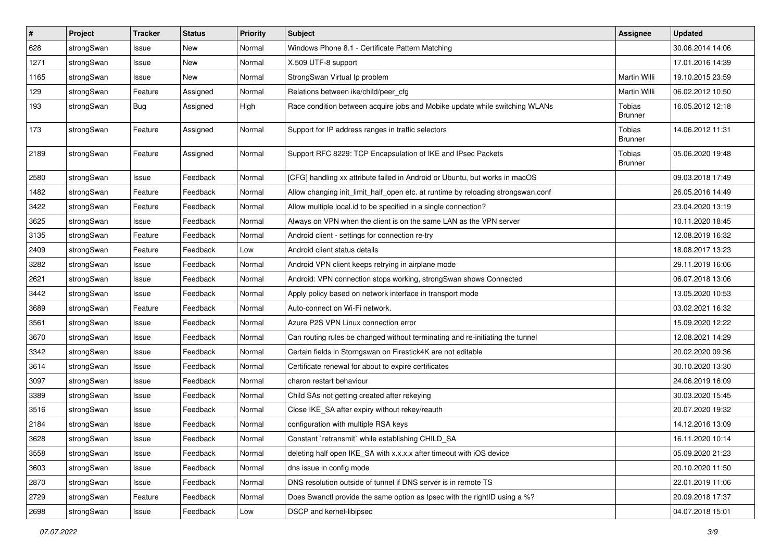| $\pmb{\#}$ | Project    | Tracker    | <b>Status</b> | <b>Priority</b> | <b>Subject</b>                                                                   | <b>Assignee</b>          | <b>Updated</b>   |
|------------|------------|------------|---------------|-----------------|----------------------------------------------------------------------------------|--------------------------|------------------|
| 628        | strongSwan | Issue      | New           | Normal          | Windows Phone 8.1 - Certificate Pattern Matching                                 |                          | 30.06.2014 14:06 |
| 1271       | strongSwan | Issue      | New           | Normal          | X.509 UTF-8 support                                                              |                          | 17.01.2016 14:39 |
| 1165       | strongSwan | Issue      | New           | Normal          | StrongSwan Virtual Ip problem                                                    | Martin Willi             | 19.10.2015 23:59 |
| 129        | strongSwan | Feature    | Assigned      | Normal          | Relations between ike/child/peer_cfg                                             | <b>Martin Willi</b>      | 06.02.2012 10:50 |
| 193        | strongSwan | <b>Bug</b> | Assigned      | High            | Race condition between acquire jobs and Mobike update while switching WLANs      | Tobias<br><b>Brunner</b> | 16.05.2012 12:18 |
| 173        | strongSwan | Feature    | Assigned      | Normal          | Support for IP address ranges in traffic selectors                               | Tobias<br><b>Brunner</b> | 14.06.2012 11:31 |
| 2189       | strongSwan | Feature    | Assigned      | Normal          | Support RFC 8229: TCP Encapsulation of IKE and IPsec Packets                     | Tobias<br><b>Brunner</b> | 05.06.2020 19:48 |
| 2580       | strongSwan | Issue      | Feedback      | Normal          | [CFG] handling xx attribute failed in Android or Ubuntu, but works in macOS      |                          | 09.03.2018 17:49 |
| 1482       | strongSwan | Feature    | Feedback      | Normal          | Allow changing init_limit_half_open etc. at runtime by reloading strongswan.conf |                          | 26.05.2016 14:49 |
| 3422       | strongSwan | Feature    | Feedback      | Normal          | Allow multiple local.id to be specified in a single connection?                  |                          | 23.04.2020 13:19 |
| 3625       | strongSwan | Issue      | Feedback      | Normal          | Always on VPN when the client is on the same LAN as the VPN server               |                          | 10.11.2020 18:45 |
| 3135       | strongSwan | Feature    | Feedback      | Normal          | Android client - settings for connection re-try                                  |                          | 12.08.2019 16:32 |
| 2409       | strongSwan | Feature    | Feedback      | Low             | Android client status details                                                    |                          | 18.08.2017 13:23 |
| 3282       | strongSwan | Issue      | Feedback      | Normal          | Android VPN client keeps retrying in airplane mode                               |                          | 29.11.2019 16:06 |
| 2621       | strongSwan | Issue      | Feedback      | Normal          | Android: VPN connection stops working, strongSwan shows Connected                |                          | 06.07.2018 13:06 |
| 3442       | strongSwan | Issue      | Feedback      | Normal          | Apply policy based on network interface in transport mode                        |                          | 13.05.2020 10:53 |
| 3689       | strongSwan | Feature    | Feedback      | Normal          | Auto-connect on Wi-Fi network.                                                   |                          | 03.02.2021 16:32 |
| 3561       | strongSwan | Issue      | Feedback      | Normal          | Azure P2S VPN Linux connection error                                             |                          | 15.09.2020 12:22 |
| 3670       | strongSwan | Issue      | Feedback      | Normal          | Can routing rules be changed without terminating and re-initiating the tunnel    |                          | 12.08.2021 14:29 |
| 3342       | strongSwan | Issue      | Feedback      | Normal          | Certain fields in Storngswan on Firestick4K are not editable                     |                          | 20.02.2020 09:36 |
| 3614       | strongSwan | Issue      | Feedback      | Normal          | Certificate renewal for about to expire certificates                             |                          | 30.10.2020 13:30 |
| 3097       | strongSwan | Issue      | Feedback      | Normal          | charon restart behaviour                                                         |                          | 24.06.2019 16:09 |
| 3389       | strongSwan | Issue      | Feedback      | Normal          | Child SAs not getting created after rekeying                                     |                          | 30.03.2020 15:45 |
| 3516       | strongSwan | Issue      | Feedback      | Normal          | Close IKE_SA after expiry without rekey/reauth                                   |                          | 20.07.2020 19:32 |
| 2184       | strongSwan | Issue      | Feedback      | Normal          | configuration with multiple RSA keys                                             |                          | 14.12.2016 13:09 |
| 3628       | strongSwan | Issue      | Feedback      | Normal          | Constant `retransmit` while establishing CHILD_SA                                |                          | 16.11.2020 10:14 |
| 3558       | strongSwan | Issue      | Feedback      | Normal          | deleting half open IKE_SA with x.x.x.x after timeout with iOS device             |                          | 05.09.2020 21:23 |
| 3603       | strongSwan | Issue      | Feedback      | Normal          | dns issue in config mode                                                         |                          | 20.10.2020 11:50 |
| 2870       | strongSwan | Issue      | Feedback      | Normal          | DNS resolution outside of tunnel if DNS server is in remote TS                   |                          | 22.01.2019 11:06 |
| 2729       | strongSwan | Feature    | Feedback      | Normal          | Does Swanctl provide the same option as Ipsec with the rightID using a %?        |                          | 20.09.2018 17:37 |
| 2698       | strongSwan | Issue      | Feedback      | Low             | DSCP and kernel-libipsec                                                         |                          | 04.07.2018 15:01 |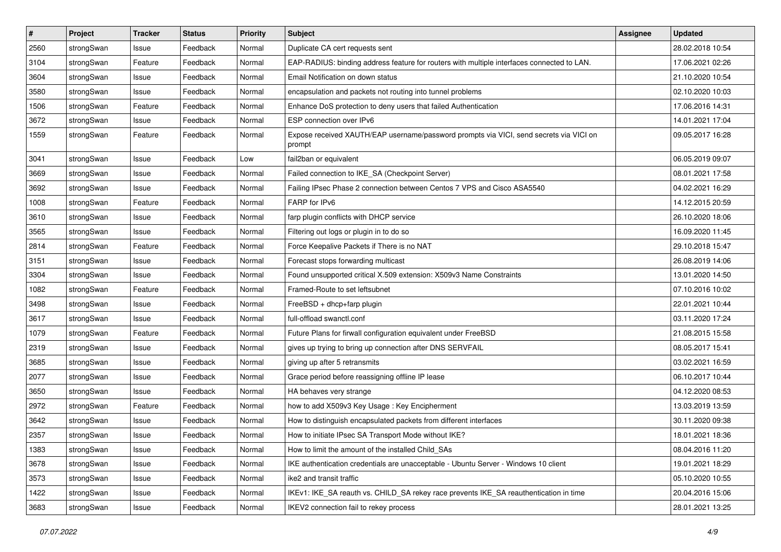| #    | Project    | <b>Tracker</b> | <b>Status</b> | <b>Priority</b> | <b>Subject</b>                                                                                   | <b>Assignee</b> | <b>Updated</b>   |
|------|------------|----------------|---------------|-----------------|--------------------------------------------------------------------------------------------------|-----------------|------------------|
| 2560 | strongSwan | Issue          | Feedback      | Normal          | Duplicate CA cert requests sent                                                                  |                 | 28.02.2018 10:54 |
| 3104 | strongSwan | Feature        | Feedback      | Normal          | EAP-RADIUS: binding address feature for routers with multiple interfaces connected to LAN.       |                 | 17.06.2021 02:26 |
| 3604 | strongSwan | Issue          | Feedback      | Normal          | Email Notification on down status                                                                |                 | 21.10.2020 10:54 |
| 3580 | strongSwan | Issue          | Feedback      | Normal          | encapsulation and packets not routing into tunnel problems                                       |                 | 02.10.2020 10:03 |
| 1506 | strongSwan | Feature        | Feedback      | Normal          | Enhance DoS protection to deny users that failed Authentication                                  |                 | 17.06.2016 14:31 |
| 3672 | strongSwan | Issue          | Feedback      | Normal          | ESP connection over IPv6                                                                         |                 | 14.01.2021 17:04 |
| 1559 | strongSwan | Feature        | Feedback      | Normal          | Expose received XAUTH/EAP username/password prompts via VICI, send secrets via VICI on<br>prompt |                 | 09.05.2017 16:28 |
| 3041 | strongSwan | Issue          | Feedback      | Low             | fail2ban or equivalent                                                                           |                 | 06.05.2019 09:07 |
| 3669 | strongSwan | Issue          | Feedback      | Normal          | Failed connection to IKE_SA (Checkpoint Server)                                                  |                 | 08.01.2021 17:58 |
| 3692 | strongSwan | Issue          | Feedback      | Normal          | Failing IPsec Phase 2 connection between Centos 7 VPS and Cisco ASA5540                          |                 | 04.02.2021 16:29 |
| 1008 | strongSwan | Feature        | Feedback      | Normal          | FARP for IPv6                                                                                    |                 | 14.12.2015 20:59 |
| 3610 | strongSwan | Issue          | Feedback      | Normal          | farp plugin conflicts with DHCP service                                                          |                 | 26.10.2020 18:06 |
| 3565 | strongSwan | Issue          | Feedback      | Normal          | Filtering out logs or plugin in to do so                                                         |                 | 16.09.2020 11:45 |
| 2814 | strongSwan | Feature        | Feedback      | Normal          | Force Keepalive Packets if There is no NAT                                                       |                 | 29.10.2018 15:47 |
| 3151 | strongSwan | Issue          | Feedback      | Normal          | Forecast stops forwarding multicast                                                              |                 | 26.08.2019 14:06 |
| 3304 | strongSwan | Issue          | Feedback      | Normal          | Found unsupported critical X.509 extension: X509v3 Name Constraints                              |                 | 13.01.2020 14:50 |
| 1082 | strongSwan | Feature        | Feedback      | Normal          | Framed-Route to set leftsubnet                                                                   |                 | 07.10.2016 10:02 |
| 3498 | strongSwan | Issue          | Feedback      | Normal          | FreeBSD + dhcp+farp plugin                                                                       |                 | 22.01.2021 10:44 |
| 3617 | strongSwan | Issue          | Feedback      | Normal          | full-offload swanctl.conf                                                                        |                 | 03.11.2020 17:24 |
| 1079 | strongSwan | Feature        | Feedback      | Normal          | Future Plans for firwall configuration equivalent under FreeBSD                                  |                 | 21.08.2015 15:58 |
| 2319 | strongSwan | Issue          | Feedback      | Normal          | gives up trying to bring up connection after DNS SERVFAIL                                        |                 | 08.05.2017 15:41 |
| 3685 | strongSwan | Issue          | Feedback      | Normal          | giving up after 5 retransmits                                                                    |                 | 03.02.2021 16:59 |
| 2077 | strongSwan | Issue          | Feedback      | Normal          | Grace period before reassigning offline IP lease                                                 |                 | 06.10.2017 10:44 |
| 3650 | strongSwan | Issue          | Feedback      | Normal          | HA behaves very strange                                                                          |                 | 04.12.2020 08:53 |
| 2972 | strongSwan | Feature        | Feedback      | Normal          | how to add X509v3 Key Usage: Key Encipherment                                                    |                 | 13.03.2019 13:59 |
| 3642 | strongSwan | Issue          | Feedback      | Normal          | How to distinguish encapsulated packets from different interfaces                                |                 | 30.11.2020 09:38 |
| 2357 | strongSwan | Issue          | Feedback      | Normal          | How to initiate IPsec SA Transport Mode without IKE?                                             |                 | 18.01.2021 18:36 |
| 1383 | strongSwan | Issue          | Feedback      | Normal          | How to limit the amount of the installed Child_SAs                                               |                 | 08.04.2016 11:20 |
| 3678 | strongSwan | Issue          | Feedback      | Normal          | IKE authentication credentials are unacceptable - Ubuntu Server - Windows 10 client              |                 | 19.01.2021 18:29 |
| 3573 | strongSwan | Issue          | Feedback      | Normal          | ike2 and transit traffic                                                                         |                 | 05.10.2020 10:55 |
| 1422 | strongSwan | Issue          | Feedback      | Normal          | IKEv1: IKE_SA reauth vs. CHILD_SA rekey race prevents IKE_SA reauthentication in time            |                 | 20.04.2016 15:06 |
| 3683 | strongSwan | Issue          | Feedback      | Normal          | IKEV2 connection fail to rekey process                                                           |                 | 28.01.2021 13:25 |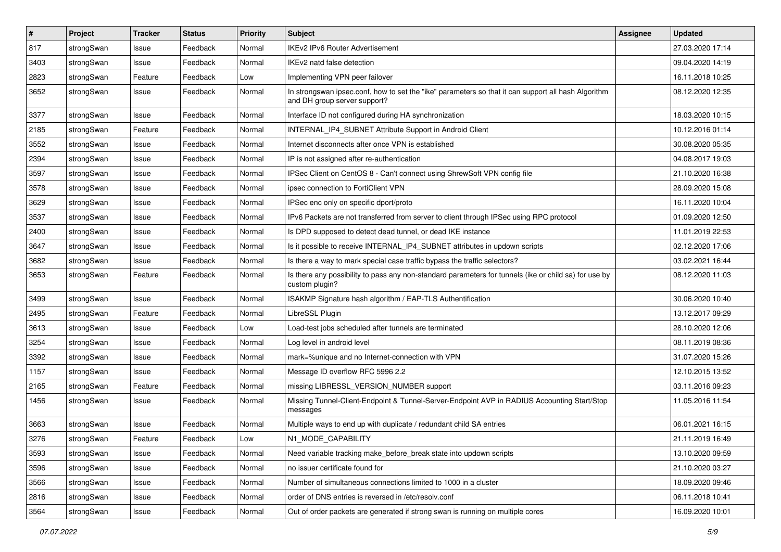| $\vert$ # | Project    | <b>Tracker</b> | <b>Status</b> | <b>Priority</b> | <b>Subject</b>                                                                                                                      | Assignee | <b>Updated</b>   |
|-----------|------------|----------------|---------------|-----------------|-------------------------------------------------------------------------------------------------------------------------------------|----------|------------------|
| 817       | strongSwan | Issue          | Feedback      | Normal          | <b>IKEv2 IPv6 Router Advertisement</b>                                                                                              |          | 27.03.2020 17:14 |
| 3403      | strongSwan | Issue          | Feedback      | Normal          | IKEv2 natd false detection                                                                                                          |          | 09.04.2020 14:19 |
| 2823      | strongSwan | Feature        | Feedback      | Low             | Implementing VPN peer failover                                                                                                      |          | 16.11.2018 10:25 |
| 3652      | strongSwan | Issue          | Feedback      | Normal          | In strongswan ipsec.conf, how to set the "ike" parameters so that it can support all hash Algorithm<br>and DH group server support? |          | 08.12.2020 12:35 |
| 3377      | strongSwan | Issue          | Feedback      | Normal          | Interface ID not configured during HA synchronization                                                                               |          | 18.03.2020 10:15 |
| 2185      | strongSwan | Feature        | Feedback      | Normal          | INTERNAL_IP4_SUBNET Attribute Support in Android Client                                                                             |          | 10.12.2016 01:14 |
| 3552      | strongSwan | Issue          | Feedback      | Normal          | Internet disconnects after once VPN is established                                                                                  |          | 30.08.2020 05:35 |
| 2394      | strongSwan | Issue          | Feedback      | Normal          | IP is not assigned after re-authentication                                                                                          |          | 04.08.2017 19:03 |
| 3597      | strongSwan | Issue          | Feedback      | Normal          | IPSec Client on CentOS 8 - Can't connect using ShrewSoft VPN config file                                                            |          | 21.10.2020 16:38 |
| 3578      | strongSwan | Issue          | Feedback      | Normal          | ipsec connection to FortiClient VPN                                                                                                 |          | 28.09.2020 15:08 |
| 3629      | strongSwan | Issue          | Feedback      | Normal          | IPSec enc only on specific dport/proto                                                                                              |          | 16.11.2020 10:04 |
| 3537      | strongSwan | Issue          | Feedback      | Normal          | IPv6 Packets are not transferred from server to client through IPSec using RPC protocol                                             |          | 01.09.2020 12:50 |
| 2400      | strongSwan | Issue          | Feedback      | Normal          | Is DPD supposed to detect dead tunnel, or dead IKE instance                                                                         |          | 11.01.2019 22:53 |
| 3647      | strongSwan | Issue          | Feedback      | Normal          | Is it possible to receive INTERNAL_IP4_SUBNET attributes in updown scripts                                                          |          | 02.12.2020 17:06 |
| 3682      | strongSwan | Issue          | Feedback      | Normal          | Is there a way to mark special case traffic bypass the traffic selectors?                                                           |          | 03.02.2021 16:44 |
| 3653      | strongSwan | Feature        | Feedback      | Normal          | Is there any possibility to pass any non-standard parameters for tunnels (ike or child sa) for use by<br>custom plugin?             |          | 08.12.2020 11:03 |
| 3499      | strongSwan | Issue          | Feedback      | Normal          | ISAKMP Signature hash algorithm / EAP-TLS Authentification                                                                          |          | 30.06.2020 10:40 |
| 2495      | strongSwan | Feature        | Feedback      | Normal          | LibreSSL Plugin                                                                                                                     |          | 13.12.2017 09:29 |
| 3613      | strongSwan | Issue          | Feedback      | Low             | Load-test jobs scheduled after tunnels are terminated                                                                               |          | 28.10.2020 12:06 |
| 3254      | strongSwan | Issue          | Feedback      | Normal          | Log level in android level                                                                                                          |          | 08.11.2019 08:36 |
| 3392      | strongSwan | Issue          | Feedback      | Normal          | mark=%unique and no Internet-connection with VPN                                                                                    |          | 31.07.2020 15:26 |
| 1157      | strongSwan | Issue          | Feedback      | Normal          | Message ID overflow RFC 5996 2.2                                                                                                    |          | 12.10.2015 13:52 |
| 2165      | strongSwan | Feature        | Feedback      | Normal          | missing LIBRESSL_VERSION_NUMBER support                                                                                             |          | 03.11.2016 09:23 |
| 1456      | strongSwan | Issue          | Feedback      | Normal          | Missing Tunnel-Client-Endpoint & Tunnel-Server-Endpoint AVP in RADIUS Accounting Start/Stop<br>messages                             |          | 11.05.2016 11:54 |
| 3663      | strongSwan | Issue          | Feedback      | Normal          | Multiple ways to end up with duplicate / redundant child SA entries                                                                 |          | 06.01.2021 16:15 |
| 3276      | strongSwan | Feature        | Feedback      | Low             | N1_MODE_CAPABILITY                                                                                                                  |          | 21.11.2019 16:49 |
| 3593      | strongSwan | Issue          | Feedback      | Normal          | Need variable tracking make_before_break state into updown scripts                                                                  |          | 13.10.2020 09:59 |
| 3596      | strongSwan | Issue          | Feedback      | Normal          | no issuer certificate found for                                                                                                     |          | 21.10.2020 03:27 |
| 3566      | strongSwan | Issue          | Feedback      | Normal          | Number of simultaneous connections limited to 1000 in a cluster                                                                     |          | 18.09.2020 09:46 |
| 2816      | strongSwan | Issue          | Feedback      | Normal          | order of DNS entries is reversed in /etc/resolv.conf                                                                                |          | 06.11.2018 10:41 |
| 3564      | strongSwan | Issue          | Feedback      | Normal          | Out of order packets are generated if strong swan is running on multiple cores                                                      |          | 16.09.2020 10:01 |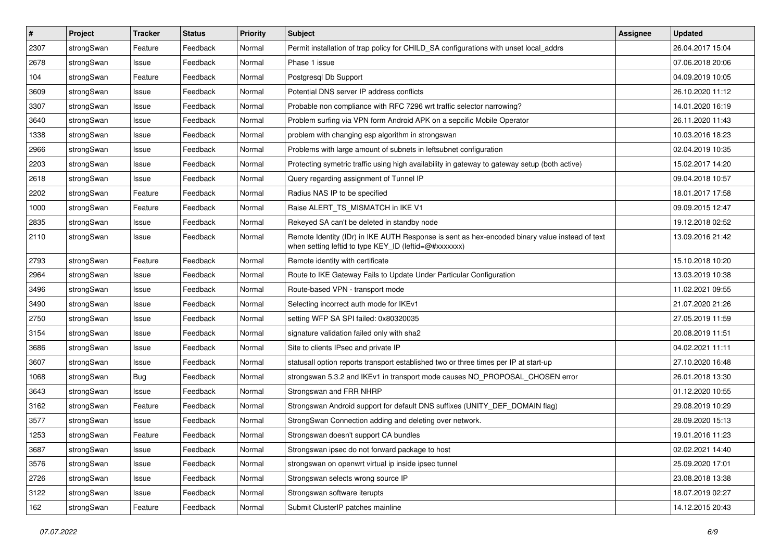| $\pmb{\#}$ | Project    | <b>Tracker</b> | <b>Status</b> | <b>Priority</b> | <b>Subject</b>                                                                                                                                          | Assignee | <b>Updated</b>   |
|------------|------------|----------------|---------------|-----------------|---------------------------------------------------------------------------------------------------------------------------------------------------------|----------|------------------|
| 2307       | strongSwan | Feature        | Feedback      | Normal          | Permit installation of trap policy for CHILD_SA configurations with unset local_addrs                                                                   |          | 26.04.2017 15:04 |
| 2678       | strongSwan | Issue          | Feedback      | Normal          | Phase 1 issue                                                                                                                                           |          | 07.06.2018 20:06 |
| 104        | strongSwan | Feature        | Feedback      | Normal          | Postgresgl Db Support                                                                                                                                   |          | 04.09.2019 10:05 |
| 3609       | strongSwan | lssue          | Feedback      | Normal          | Potential DNS server IP address conflicts                                                                                                               |          | 26.10.2020 11:12 |
| 3307       | strongSwan | Issue          | Feedback      | Normal          | Probable non compliance with RFC 7296 wrt traffic selector narrowing?                                                                                   |          | 14.01.2020 16:19 |
| 3640       | strongSwan | Issue          | Feedback      | Normal          | Problem surfing via VPN form Android APK on a sepcific Mobile Operator                                                                                  |          | 26.11.2020 11:43 |
| 1338       | strongSwan | lssue          | Feedback      | Normal          | problem with changing esp algorithm in strongswan                                                                                                       |          | 10.03.2016 18:23 |
| 2966       | strongSwan | Issue          | Feedback      | Normal          | Problems with large amount of subnets in leftsubnet configuration                                                                                       |          | 02.04.2019 10:35 |
| 2203       | strongSwan | Issue          | Feedback      | Normal          | Protecting symetric traffic using high availability in gateway to gateway setup (both active)                                                           |          | 15.02.2017 14:20 |
| 2618       | strongSwan | Issue          | Feedback      | Normal          | Query regarding assignment of Tunnel IP                                                                                                                 |          | 09.04.2018 10:57 |
| 2202       | strongSwan | Feature        | Feedback      | Normal          | Radius NAS IP to be specified                                                                                                                           |          | 18.01.2017 17:58 |
| 1000       | strongSwan | Feature        | Feedback      | Normal          | Raise ALERT TS MISMATCH in IKE V1                                                                                                                       |          | 09.09.2015 12:47 |
| 2835       | strongSwan | lssue          | Feedback      | Normal          | Rekeyed SA can't be deleted in standby node                                                                                                             |          | 19.12.2018 02:52 |
| 2110       | strongSwan | Issue          | Feedback      | Normal          | Remote Identity (IDr) in IKE AUTH Response is sent as hex-encoded binary value instead of text<br>when setting leftid to type KEY_ID (leftid=@#xxxxxxx) |          | 13.09.2016 21:42 |
| 2793       | strongSwan | Feature        | Feedback      | Normal          | Remote identity with certificate                                                                                                                        |          | 15.10.2018 10:20 |
| 2964       | strongSwan | Issue          | Feedback      | Normal          | Route to IKE Gateway Fails to Update Under Particular Configuration                                                                                     |          | 13.03.2019 10:38 |
| 3496       | strongSwan | Issue          | Feedback      | Normal          | Route-based VPN - transport mode                                                                                                                        |          | 11.02.2021 09:55 |
| 3490       | strongSwan | Issue          | Feedback      | Normal          | Selecting incorrect auth mode for IKEv1                                                                                                                 |          | 21.07.2020 21:26 |
| 2750       | strongSwan | Issue          | Feedback      | Normal          | setting WFP SA SPI failed: 0x80320035                                                                                                                   |          | 27.05.2019 11:59 |
| 3154       | strongSwan | Issue          | Feedback      | Normal          | signature validation failed only with sha2                                                                                                              |          | 20.08.2019 11:51 |
| 3686       | strongSwan | lssue          | Feedback      | Normal          | Site to clients IPsec and private IP                                                                                                                    |          | 04.02.2021 11:11 |
| 3607       | strongSwan | Issue          | Feedback      | Normal          | statusall option reports transport established two or three times per IP at start-up                                                                    |          | 27.10.2020 16:48 |
| 1068       | strongSwan | <b>Bug</b>     | Feedback      | Normal          | strongswan 5.3.2 and IKEv1 in transport mode causes NO_PROPOSAL_CHOSEN error                                                                            |          | 26.01.2018 13:30 |
| 3643       | strongSwan | Issue          | Feedback      | Normal          | Strongswan and FRR NHRP                                                                                                                                 |          | 01.12.2020 10:55 |
| 3162       | strongSwan | Feature        | Feedback      | Normal          | Strongswan Android support for default DNS suffixes (UNITY_DEF_DOMAIN flag)                                                                             |          | 29.08.2019 10:29 |
| 3577       | strongSwan | Issue          | Feedback      | Normal          | StrongSwan Connection adding and deleting over network.                                                                                                 |          | 28.09.2020 15:13 |
| 1253       | strongSwan | Feature        | Feedback      | Normal          | Strongswan doesn't support CA bundles                                                                                                                   |          | 19.01.2016 11:23 |
| 3687       | strongSwan | Issue          | Feedback      | Normal          | Strongswan ipsec do not forward package to host                                                                                                         |          | 02.02.2021 14:40 |
| 3576       | strongSwan | Issue          | Feedback      | Normal          | strongswan on openwrt virtual ip inside ipsec tunnel                                                                                                    |          | 25.09.2020 17:01 |
| 2726       | strongSwan | Issue          | Feedback      | Normal          | Strongswan selects wrong source IP                                                                                                                      |          | 23.08.2018 13:38 |
| 3122       | strongSwan | Issue          | Feedback      | Normal          | Strongswan software iterupts                                                                                                                            |          | 18.07.2019 02:27 |
| 162        | strongSwan | Feature        | Feedback      | Normal          | Submit ClusterIP patches mainline                                                                                                                       |          | 14.12.2015 20:43 |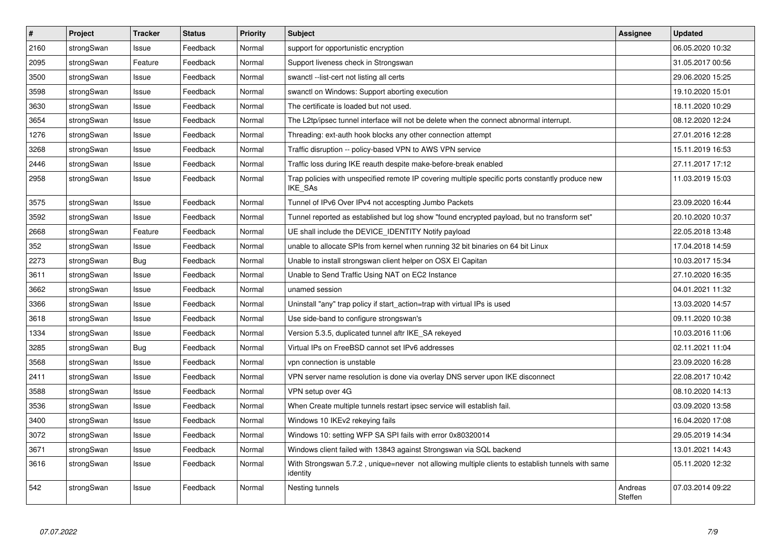| $\vert$ # | Project    | <b>Tracker</b> | <b>Status</b> | <b>Priority</b> | <b>Subject</b>                                                                                               | Assignee           | <b>Updated</b>   |
|-----------|------------|----------------|---------------|-----------------|--------------------------------------------------------------------------------------------------------------|--------------------|------------------|
| 2160      | strongSwan | Issue          | Feedback      | Normal          | support for opportunistic encryption                                                                         |                    | 06.05.2020 10:32 |
| 2095      | strongSwan | Feature        | Feedback      | Normal          | Support liveness check in Strongswan                                                                         |                    | 31.05.2017 00:56 |
| 3500      | strongSwan | Issue          | Feedback      | Normal          | swanctl --list-cert not listing all certs                                                                    |                    | 29.06.2020 15:25 |
| 3598      | strongSwan | Issue          | Feedback      | Normal          | swanctl on Windows: Support aborting execution                                                               |                    | 19.10.2020 15:01 |
| 3630      | strongSwan | Issue          | Feedback      | Normal          | The certificate is loaded but not used.                                                                      |                    | 18.11.2020 10:29 |
| 3654      | strongSwan | Issue          | Feedback      | Normal          | The L2tp/ipsec tunnel interface will not be delete when the connect abnormal interrupt.                      |                    | 08.12.2020 12:24 |
| 1276      | strongSwan | Issue          | Feedback      | Normal          | Threading: ext-auth hook blocks any other connection attempt                                                 |                    | 27.01.2016 12:28 |
| 3268      | strongSwan | Issue          | Feedback      | Normal          | Traffic disruption -- policy-based VPN to AWS VPN service                                                    |                    | 15.11.2019 16:53 |
| 2446      | strongSwan | Issue          | Feedback      | Normal          | Traffic loss during IKE reauth despite make-before-break enabled                                             |                    | 27.11.2017 17:12 |
| 2958      | strongSwan | Issue          | Feedback      | Normal          | Trap policies with unspecified remote IP covering multiple specific ports constantly produce new<br>IKE SAs  |                    | 11.03.2019 15:03 |
| 3575      | strongSwan | Issue          | Feedback      | Normal          | Tunnel of IPv6 Over IPv4 not accespting Jumbo Packets                                                        |                    | 23.09.2020 16:44 |
| 3592      | strongSwan | Issue          | Feedback      | Normal          | Tunnel reported as established but log show "found encrypted payload, but no transform set"                  |                    | 20.10.2020 10:37 |
| 2668      | strongSwan | Feature        | Feedback      | Normal          | UE shall include the DEVICE_IDENTITY Notify payload                                                          |                    | 22.05.2018 13:48 |
| 352       | strongSwan | Issue          | Feedback      | Normal          | unable to allocate SPIs from kernel when running 32 bit binaries on 64 bit Linux                             |                    | 17.04.2018 14:59 |
| 2273      | strongSwan | <b>Bug</b>     | Feedback      | Normal          | Unable to install strongswan client helper on OSX El Capitan                                                 |                    | 10.03.2017 15:34 |
| 3611      | strongSwan | Issue          | Feedback      | Normal          | Unable to Send Traffic Using NAT on EC2 Instance                                                             |                    | 27.10.2020 16:35 |
| 3662      | strongSwan | Issue          | Feedback      | Normal          | unamed session                                                                                               |                    | 04.01.2021 11:32 |
| 3366      | strongSwan | Issue          | Feedback      | Normal          | Uninstall "any" trap policy if start action=trap with virtual IPs is used                                    |                    | 13.03.2020 14:57 |
| 3618      | strongSwan | Issue          | Feedback      | Normal          | Use side-band to configure strongswan's                                                                      |                    | 09.11.2020 10:38 |
| 1334      | strongSwan | Issue          | Feedback      | Normal          | Version 5.3.5, duplicated tunnel aftr IKE_SA rekeyed                                                         |                    | 10.03.2016 11:06 |
| 3285      | strongSwan | <b>Bug</b>     | Feedback      | Normal          | Virtual IPs on FreeBSD cannot set IPv6 addresses                                                             |                    | 02.11.2021 11:04 |
| 3568      | strongSwan | Issue          | Feedback      | Normal          | vpn connection is unstable                                                                                   |                    | 23.09.2020 16:28 |
| 2411      | strongSwan | Issue          | Feedback      | Normal          | VPN server name resolution is done via overlay DNS server upon IKE disconnect                                |                    | 22.08.2017 10:42 |
| 3588      | strongSwan | Issue          | Feedback      | Normal          | VPN setup over 4G                                                                                            |                    | 08.10.2020 14:13 |
| 3536      | strongSwan | Issue          | Feedback      | Normal          | When Create multiple tunnels restart ipsec service will establish fail.                                      |                    | 03.09.2020 13:58 |
| 3400      | strongSwan | Issue          | Feedback      | Normal          | Windows 10 IKEv2 rekeying fails                                                                              |                    | 16.04.2020 17:08 |
| 3072      | strongSwan | Issue          | Feedback      | Normal          | Windows 10: setting WFP SA SPI fails with error 0x80320014                                                   |                    | 29.05.2019 14:34 |
| 3671      | strongSwan | Issue          | Feedback      | Normal          | Windows client failed with 13843 against Strongswan via SQL backend                                          |                    | 13.01.2021 14:43 |
| 3616      | strongSwan | Issue          | Feedback      | Normal          | With Strongswan 5.7.2, unique=never not allowing multiple clients to establish tunnels with same<br>identity |                    | 05.11.2020 12:32 |
| 542       | strongSwan | Issue          | Feedback      | Normal          | Nesting tunnels                                                                                              | Andreas<br>Steffen | 07.03.2014 09:22 |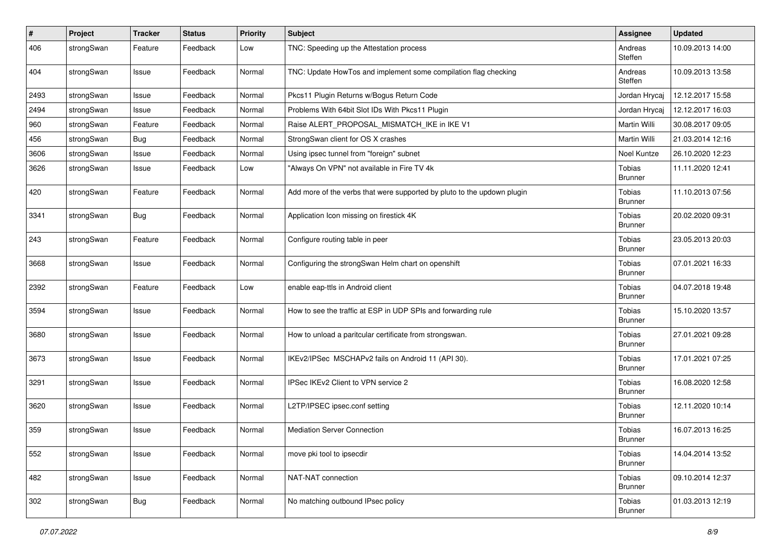| $\sharp$ | Project    | <b>Tracker</b> | <b>Status</b> | <b>Priority</b> | <b>Subject</b>                                                          | <b>Assignee</b>          | <b>Updated</b>   |
|----------|------------|----------------|---------------|-----------------|-------------------------------------------------------------------------|--------------------------|------------------|
| 406      | strongSwan | Feature        | Feedback      | Low             | TNC: Speeding up the Attestation process                                | Andreas<br>Steffen       | 10.09.2013 14:00 |
| 404      | strongSwan | Issue          | Feedback      | Normal          | TNC: Update HowTos and implement some compilation flag checking         | Andreas<br>Steffen       | 10.09.2013 13:58 |
| 2493     | strongSwan | Issue          | Feedback      | Normal          | Pkcs11 Plugin Returns w/Bogus Return Code                               | Jordan Hrycaj            | 12.12.2017 15:58 |
| 2494     | strongSwan | Issue          | Feedback      | Normal          | Problems With 64bit Slot IDs With Pkcs11 Plugin                         | Jordan Hrycaj            | 12.12.2017 16:03 |
| 960      | strongSwan | Feature        | Feedback      | Normal          | Raise ALERT_PROPOSAL_MISMATCH_IKE in IKE V1                             | Martin Willi             | 30.08.2017 09:05 |
| 456      | strongSwan | Bug            | Feedback      | Normal          | StrongSwan client for OS X crashes                                      | Martin Willi             | 21.03.2014 12:16 |
| 3606     | strongSwan | Issue          | Feedback      | Normal          | Using ipsec tunnel from "foreign" subnet                                | Noel Kuntze              | 26.10.2020 12:23 |
| 3626     | strongSwan | Issue          | Feedback      | Low             | "Always On VPN" not available in Fire TV 4k                             | Tobias<br><b>Brunner</b> | 11.11.2020 12:41 |
| 420      | strongSwan | Feature        | Feedback      | Normal          | Add more of the verbs that were supported by pluto to the updown plugin | Tobias<br><b>Brunner</b> | 11.10.2013 07:56 |
| 3341     | strongSwan | Bug            | Feedback      | Normal          | Application Icon missing on firestick 4K                                | Tobias<br><b>Brunner</b> | 20.02.2020 09:31 |
| 243      | strongSwan | Feature        | Feedback      | Normal          | Configure routing table in peer                                         | Tobias<br><b>Brunner</b> | 23.05.2013 20:03 |
| 3668     | strongSwan | Issue          | Feedback      | Normal          | Configuring the strongSwan Helm chart on openshift                      | Tobias<br><b>Brunner</b> | 07.01.2021 16:33 |
| 2392     | strongSwan | Feature        | Feedback      | Low             | enable eap-ttls in Android client                                       | Tobias<br><b>Brunner</b> | 04.07.2018 19:48 |
| 3594     | strongSwan | Issue          | Feedback      | Normal          | How to see the traffic at ESP in UDP SPIs and forwarding rule           | Tobias<br><b>Brunner</b> | 15.10.2020 13:57 |
| 3680     | strongSwan | Issue          | Feedback      | Normal          | How to unload a paritcular certificate from strongswan.                 | Tobias<br><b>Brunner</b> | 27.01.2021 09:28 |
| 3673     | strongSwan | Issue          | Feedback      | Normal          | IKEv2/IPSec MSCHAPv2 fails on Android 11 (API 30).                      | Tobias<br><b>Brunner</b> | 17.01.2021 07:25 |
| 3291     | strongSwan | Issue          | Feedback      | Normal          | IPSec IKEv2 Client to VPN service 2                                     | Tobias<br><b>Brunner</b> | 16.08.2020 12:58 |
| 3620     | strongSwan | Issue          | Feedback      | Normal          | L2TP/IPSEC ipsec.conf setting                                           | Tobias<br><b>Brunner</b> | 12.11.2020 10:14 |
| 359      | strongSwan | Issue          | Feedback      | Normal          | Mediation Server Connection                                             | Tobias<br><b>Brunner</b> | 16.07.2013 16:25 |
| 552      | strongSwan | Issue          | Feedback      | Normal          | move pki tool to ipsecdir                                               | Tobias<br><b>Brunner</b> | 14.04.2014 13:52 |
| 482      | strongSwan | Issue          | Feedback      | Normal          | NAT-NAT connection                                                      | Tobias<br><b>Brunner</b> | 09.10.2014 12:37 |
| 302      | strongSwan | <b>Bug</b>     | Feedback      | Normal          | No matching outbound IPsec policy                                       | Tobias<br><b>Brunner</b> | 01.03.2013 12:19 |